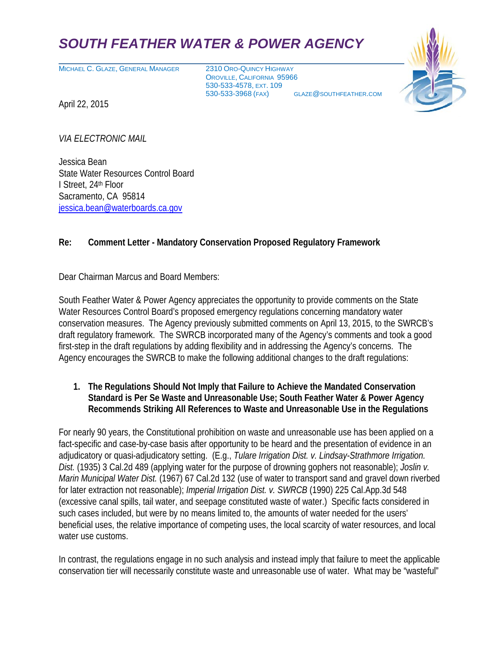# *SOUTH FEATHER WATER & POWER AGENCY*

MICHAEL C. GLAZE, GENERAL MANAGER 2310 ORO-QUINCY HIGHWAY

OROVILLE, CALIFORNIA 95966 530-533-4578, EXT. 109 530-533-3968 (FAX) GLAZE@SOUTHFEATHER.COM



April 22, 2015

*VIA ELECTRONIC MAIL*

Jessica Bean State Water Resources Control Board I Street, 24th Floor Sacramento, CA 95814 [jessica.bean@waterboards.ca.gov](mailto:jessica.bean@waterboards.ca.gov)

# **Re: Comment Letter - Mandatory Conservation Proposed Regulatory Framework**

Dear Chairman Marcus and Board Members:

South Feather Water & Power Agency appreciates the opportunity to provide comments on the State Water Resources Control Board's proposed emergency regulations concerning mandatory water conservation measures. The Agency previously submitted comments on April 13, 2015, to the SWRCB's draft regulatory framework. The SWRCB incorporated many of the Agency's comments and took a good first-step in the draft regulations by adding flexibility and in addressing the Agency's concerns. The Agency encourages the SWRCB to make the following additional changes to the draft regulations:

#### **1. The Regulations Should Not Imply that Failure to Achieve the Mandated Conservation Standard is Per Se Waste and Unreasonable Use; South Feather Water & Power Agency Recommends Striking All References to Waste and Unreasonable Use in the Regulations**

For nearly 90 years, the Constitutional prohibition on waste and unreasonable use has been applied on a fact-specific and case-by-case basis after opportunity to be heard and the presentation of evidence in an adjudicatory or quasi-adjudicatory setting. (E.g., *Tulare Irrigation Dist. v. Lindsay-Strathmore Irrigation. Dist.* (1935) 3 Cal.2d 489 (applying water for the purpose of drowning gophers not reasonable); *Joslin v. Marin Municipal Water Dist.* (1967) 67 Cal.2d 132 (use of water to transport sand and gravel down riverbed for later extraction not reasonable); *Imperial Irrigation Dist. v. SWRCB* (1990) 225 Cal.App.3d 548 (excessive canal spills, tail water, and seepage constituted waste of water.) Specific facts considered in such cases included, but were by no means limited to, the amounts of water needed for the users' beneficial uses, the relative importance of competing uses, the local scarcity of water resources, and local water use customs.

In contrast, the regulations engage in no such analysis and instead imply that failure to meet the applicable conservation tier will necessarily constitute waste and unreasonable use of water. What may be "wasteful"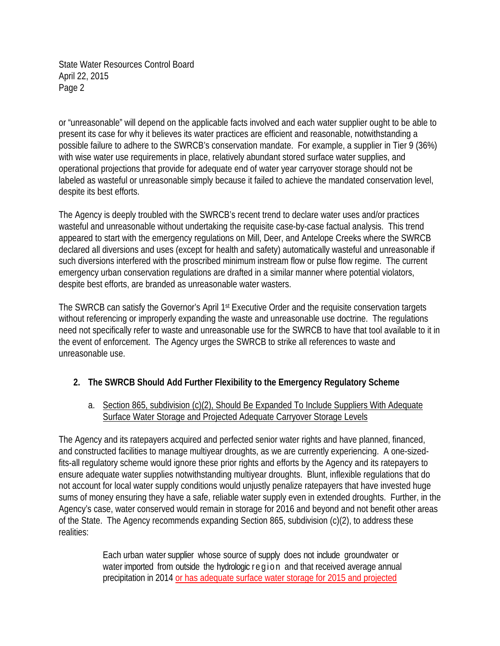State Water Resources Control Board April 22, 2015 Page 2

or "unreasonable" will depend on the applicable facts involved and each water supplier ought to be able to present its case for why it believes its water practices are efficient and reasonable, notwithstanding a possible failure to adhere to the SWRCB's conservation mandate. For example, a supplier in Tier 9 (36%) with wise water use requirements in place, relatively abundant stored surface water supplies, and operational projections that provide for adequate end of water year carryover storage should not be labeled as wasteful or unreasonable simply because it failed to achieve the mandated conservation level, despite its best efforts.

The Agency is deeply troubled with the SWRCB's recent trend to declare water uses and/or practices wasteful and unreasonable without undertaking the requisite case-by-case factual analysis. This trend appeared to start with the emergency regulations on Mill, Deer, and Antelope Creeks where the SWRCB declared all diversions and uses (except for health and safety) automatically wasteful and unreasonable if such diversions interfered with the proscribed minimum instream flow or pulse flow regime. The current emergency urban conservation regulations are drafted in a similar manner where potential violators, despite best efforts, are branded as unreasonable water wasters.

The SWRCB can satisfy the Governor's April 1st Executive Order and the requisite conservation targets without referencing or improperly expanding the waste and unreasonable use doctrine. The regulations need not specifically refer to waste and unreasonable use for the SWRCB to have that tool available to it in the event of enforcement. The Agency urges the SWRCB to strike all references to waste and unreasonable use.

## **2. The SWRCB Should Add Further Flexibility to the Emergency Regulatory Scheme**

a. Section 865, subdivision (c)(2), Should Be Expanded To Include Suppliers With Adequate Surface Water Storage and Projected Adequate Carryover Storage Levels

The Agency and its ratepayers acquired and perfected senior water rights and have planned, financed, and constructed facilities to manage multiyear droughts, as we are currently experiencing. A one-sizedfits-all regulatory scheme would ignore these prior rights and efforts by the Agency and its ratepayers to ensure adequate water supplies notwithstanding multiyear droughts. Blunt, inflexible regulations that do not account for local water supply conditions would unjustly penalize ratepayers that have invested huge sums of money ensuring they have a safe, reliable water supply even in extended droughts. Further, in the Agency's case, water conserved would remain in storage for 2016 and beyond and not benefit other areas of the State. The Agency recommends expanding Section 865, subdivision (c)(2), to address these realities:

> Each urban water supplier whose source of supply does not include groundwater or water imported from outside the hydrologic region and that received average annual precipitation in 2014 or has adequate surface water storage for 2015 and projected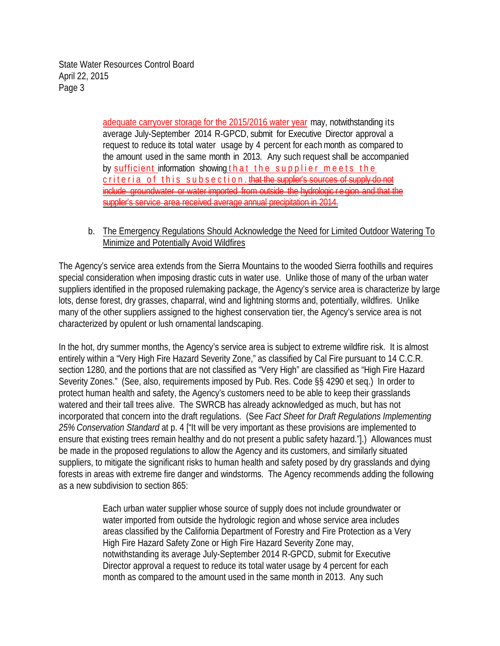State Water Resources Control Board April 22, 2015 Page 3

> adequate carryover storage for the 2015/2016 water year may, notwithstanding its average July-September 2014 R-GPCD, submit for Executive Director approval a request to reduce its total water usage by 4 percent for eachmonth as compared to the amount used in the same month in 2013. Any such request shall be accompanied by sufficient information showing that the supplier m eets the criteria of this subsection. that the supplier's sources of supply do not include groundwater or water imported from outside the hydrologic region and that the supplier's service area received average annual precipitation in 2014.

b. The Emergency Regulations Should Acknowledge the Need for Limited Outdoor Watering To Minimize and Potentially Avoid Wildfires

The Agency's service area extends from the Sierra Mountains to the wooded Sierra foothills and requires special consideration when imposing drastic cuts in water use. Unlike those of many of the urban water suppliers identified in the proposed rulemaking package, the Agency's service area is characterize by large lots, dense forest, dry grasses, chaparral, wind and lightning storms and, potentially, wildfires. Unlike many of the other suppliers assigned to the highest conservation tier, the Agency's service area is not characterized by opulent or lush ornamental landscaping.

In the hot, dry summer months, the Agency's service area is subject to extreme wildfire risk. It is almost entirely within a "Very High Fire Hazard Severity Zone," as classified by Cal Fire pursuant to 14 C.C.R. section 1280, and the portions that are not classified as "Very High" are classified as "High Fire Hazard Severity Zones." (See, also, requirements imposed by Pub. Res. Code §§ 4290 et seq.) In order to protect human health and safety, the Agency's customers need to be able to keep their grasslands watered and their tall trees alive. The SWRCB has already acknowledged as much, but has not incorporated that concern into the draft regulations. (See *Fact Sheet for Draft Regulations Implementing 25% Conservation Standard* at p. 4 ["It will be very important as these provisions are implemented to ensure that existing trees remain healthy and do not present a public safety hazard."].) Allowances must be made in the proposed regulations to allow the Agency and its customers, and similarly situated suppliers, to mitigate the significant risks to human health and safety posed by dry grasslands and dying forests in areas with extreme fire danger and windstorms. The Agency recommends adding the following as a new subdivision to section 865:

> Each urban water supplier whose source of supply does not include groundwater or water imported from outside the hydrologic region and whose service area includes areas classified by the California Department of Forestry and Fire Protection as a Very High Fire Hazard Safety Zone or High Fire Hazard Severity Zone may, notwithstanding its average July-September 2014 R-GPCD, submit for Executive Director approval a request to reduce its total water usage by 4 percent for each month as compared to the amount used in the same month in 2013. Any such